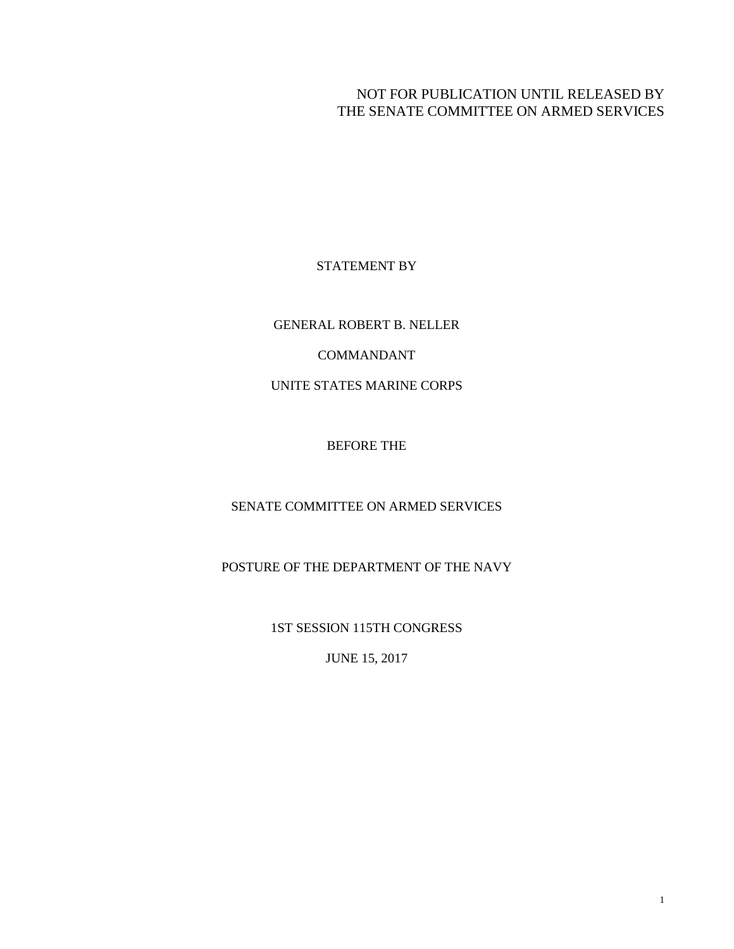# NOT FOR PUBLICATION UNTIL RELEASED BY THE SENATE COMMITTEE ON ARMED SERVICES

## STATEMENT BY

GENERAL ROBERT B. NELLER

COMMANDANT

UNITE STATES MARINE CORPS

BEFORE THE

SENATE COMMITTEE ON ARMED SERVICES

POSTURE OF THE DEPARTMENT OF THE NAVY

1ST SESSION 115TH CONGRESS

JUNE 15, 2017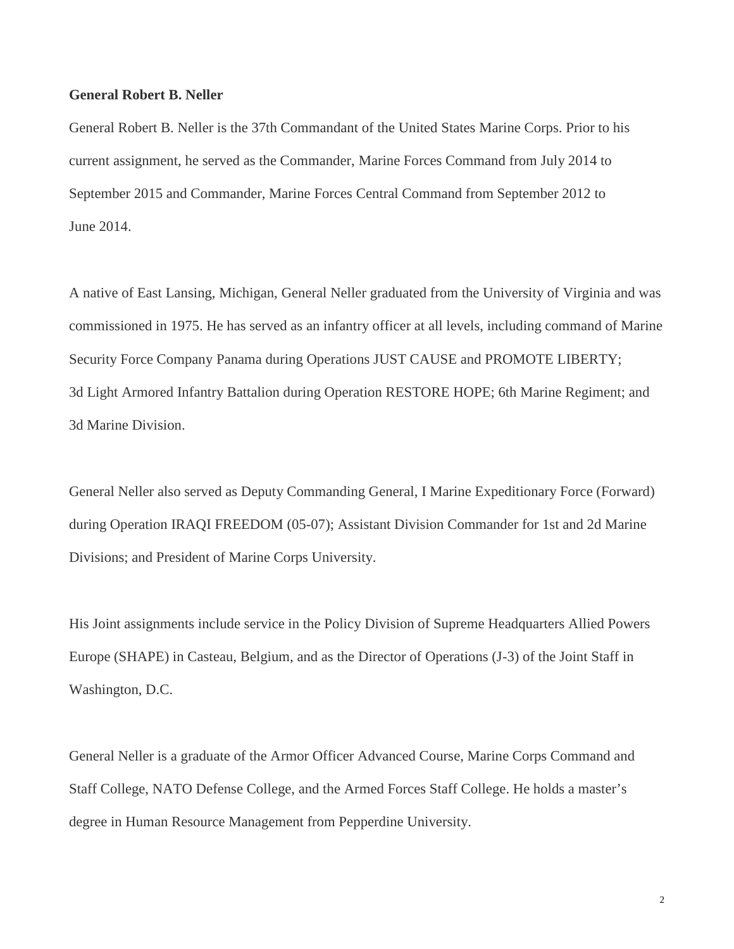## **General Robert B. Neller**

General Robert B. Neller is the 37th Commandant of the United States Marine Corps. Prior to his current assignment, he served as the Commander, Marine Forces Command from July 2014 to September 2015 and Commander, Marine Forces Central Command from September 2012 to June 2014.

A native of East Lansing, Michigan, General Neller graduated from the University of Virginia and was commissioned in 1975. He has served as an infantry officer at all levels, including command of Marine Security Force Company Panama during Operations JUST CAUSE and PROMOTE LIBERTY; 3d Light Armored Infantry Battalion during Operation RESTORE HOPE; 6th Marine Regiment; and 3d Marine Division.

General Neller also served as Deputy Commanding General, I Marine Expeditionary Force (Forward) during Operation IRAQI FREEDOM (05-07); Assistant Division Commander for 1st and 2d Marine Divisions; and President of Marine Corps University.

His Joint assignments include service in the Policy Division of Supreme Headquarters Allied Powers Europe (SHAPE) in Casteau, Belgium, and as the Director of Operations (J-3) of the Joint Staff in Washington, D.C.

General Neller is a graduate of the Armor Officer Advanced Course, Marine Corps Command and Staff College, NATO Defense College, and the Armed Forces Staff College. He holds a master's degree in Human Resource Management from Pepperdine University.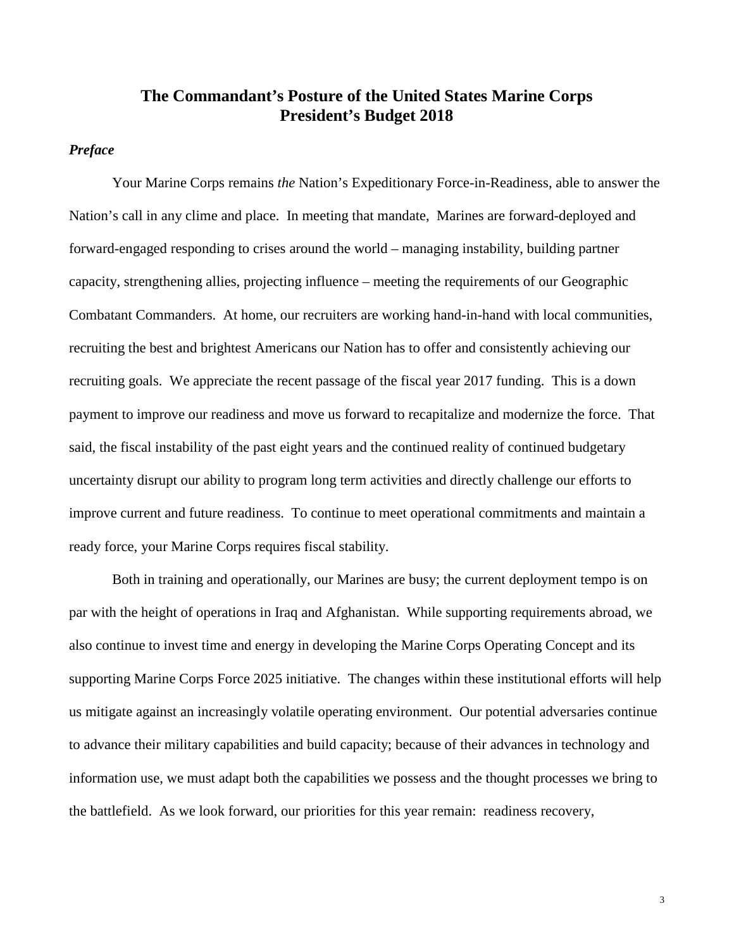# **The Commandant's Posture of the United States Marine Corps President's Budget 2018**

## *Preface*

Your Marine Corps remains *the* Nation's Expeditionary Force-in-Readiness, able to answer the Nation's call in any clime and place. In meeting that mandate, Marines are forward-deployed and forward-engaged responding to crises around the world – managing instability, building partner capacity, strengthening allies, projecting influence – meeting the requirements of our Geographic Combatant Commanders. At home, our recruiters are working hand-in-hand with local communities, recruiting the best and brightest Americans our Nation has to offer and consistently achieving our recruiting goals. We appreciate the recent passage of the fiscal year 2017 funding. This is a down payment to improve our readiness and move us forward to recapitalize and modernize the force. That said, the fiscal instability of the past eight years and the continued reality of continued budgetary uncertainty disrupt our ability to program long term activities and directly challenge our efforts to improve current and future readiness. To continue to meet operational commitments and maintain a ready force, your Marine Corps requires fiscal stability.

Both in training and operationally, our Marines are busy; the current deployment tempo is on par with the height of operations in Iraq and Afghanistan. While supporting requirements abroad, we also continue to invest time and energy in developing the Marine Corps Operating Concept and its supporting Marine Corps Force 2025 initiative. The changes within these institutional efforts will help us mitigate against an increasingly volatile operating environment. Our potential adversaries continue to advance their military capabilities and build capacity; because of their advances in technology and information use, we must adapt both the capabilities we possess and the thought processes we bring to the battlefield. As we look forward, our priorities for this year remain: readiness recovery,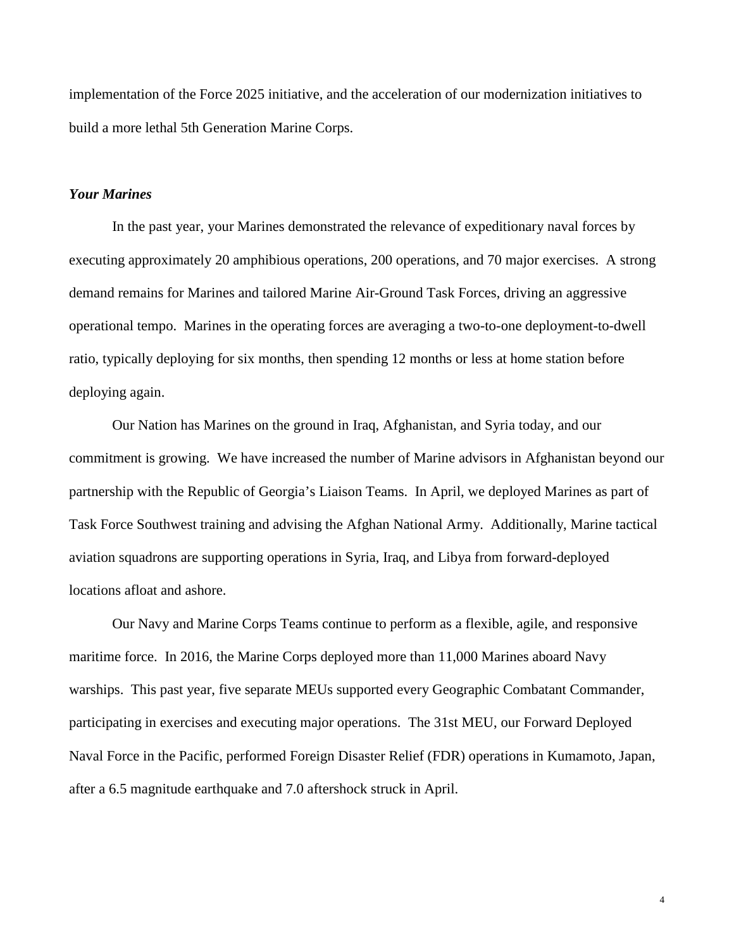implementation of the Force 2025 initiative, and the acceleration of our modernization initiatives to build a more lethal 5th Generation Marine Corps.

## *Your Marines*

In the past year, your Marines demonstrated the relevance of expeditionary naval forces by executing approximately 20 amphibious operations, 200 operations, and 70 major exercises. A strong demand remains for Marines and tailored Marine Air-Ground Task Forces, driving an aggressive operational tempo. Marines in the operating forces are averaging a two-to-one deployment-to-dwell ratio, typically deploying for six months, then spending 12 months or less at home station before deploying again.

Our Nation has Marines on the ground in Iraq, Afghanistan, and Syria today, and our commitment is growing. We have increased the number of Marine advisors in Afghanistan beyond our partnership with the Republic of Georgia's Liaison Teams. In April, we deployed Marines as part of Task Force Southwest training and advising the Afghan National Army. Additionally, Marine tactical aviation squadrons are supporting operations in Syria, Iraq, and Libya from forward-deployed locations afloat and ashore.

Our Navy and Marine Corps Teams continue to perform as a flexible, agile, and responsive maritime force. In 2016, the Marine Corps deployed more than 11,000 Marines aboard Navy warships. This past year, five separate MEUs supported every Geographic Combatant Commander, participating in exercises and executing major operations. The 31st MEU, our Forward Deployed Naval Force in the Pacific, performed Foreign Disaster Relief (FDR) operations in Kumamoto, Japan, after a 6.5 magnitude earthquake and 7.0 aftershock struck in April.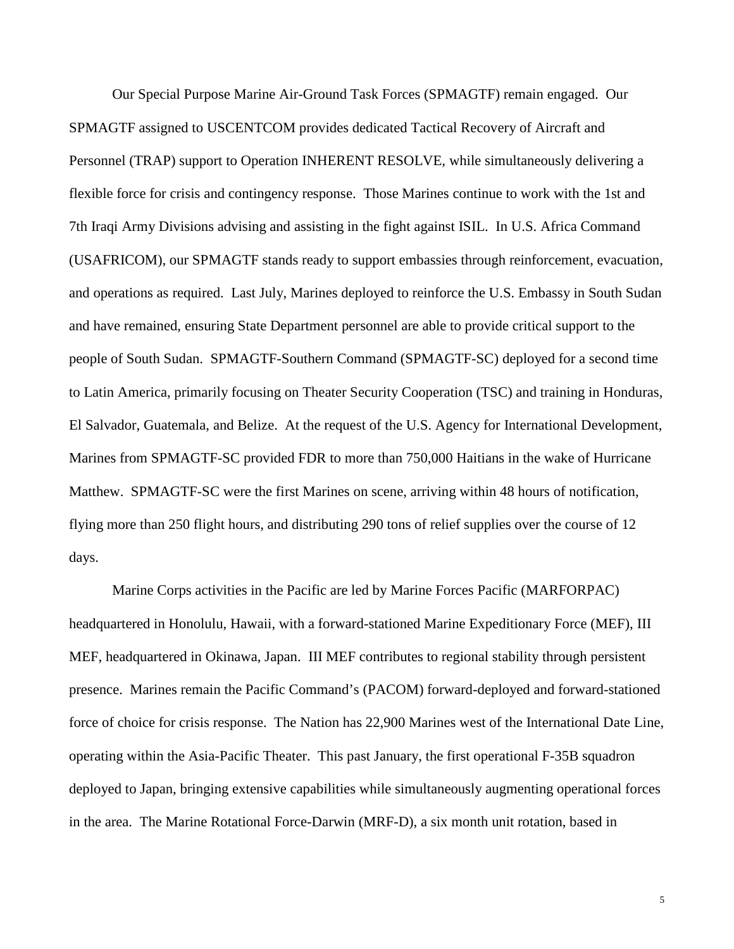Our Special Purpose Marine Air-Ground Task Forces (SPMAGTF) remain engaged. Our SPMAGTF assigned to USCENTCOM provides dedicated Tactical Recovery of Aircraft and Personnel (TRAP) support to Operation INHERENT RESOLVE, while simultaneously delivering a flexible force for crisis and contingency response. Those Marines continue to work with the 1st and 7th Iraqi Army Divisions advising and assisting in the fight against ISIL. In U.S. Africa Command (USAFRICOM), our SPMAGTF stands ready to support embassies through reinforcement, evacuation, and operations as required. Last July, Marines deployed to reinforce the U.S. Embassy in South Sudan and have remained, ensuring State Department personnel are able to provide critical support to the people of South Sudan. SPMAGTF-Southern Command (SPMAGTF-SC) deployed for a second time to Latin America, primarily focusing on Theater Security Cooperation (TSC) and training in Honduras, El Salvador, Guatemala, and Belize. At the request of the U.S. Agency for International Development, Marines from SPMAGTF-SC provided FDR to more than 750,000 Haitians in the wake of Hurricane Matthew. SPMAGTF-SC were the first Marines on scene, arriving within 48 hours of notification, flying more than 250 flight hours, and distributing 290 tons of relief supplies over the course of 12 days.

Marine Corps activities in the Pacific are led by Marine Forces Pacific (MARFORPAC) headquartered in Honolulu, Hawaii, with a forward-stationed Marine Expeditionary Force (MEF), III MEF, headquartered in Okinawa, Japan. III MEF contributes to regional stability through persistent presence. Marines remain the Pacific Command's (PACOM) forward-deployed and forward-stationed force of choice for crisis response. The Nation has 22,900 Marines west of the International Date Line, operating within the Asia-Pacific Theater. This past January, the first operational F-35B squadron deployed to Japan, bringing extensive capabilities while simultaneously augmenting operational forces in the area. The Marine Rotational Force-Darwin (MRF-D), a six month unit rotation, based in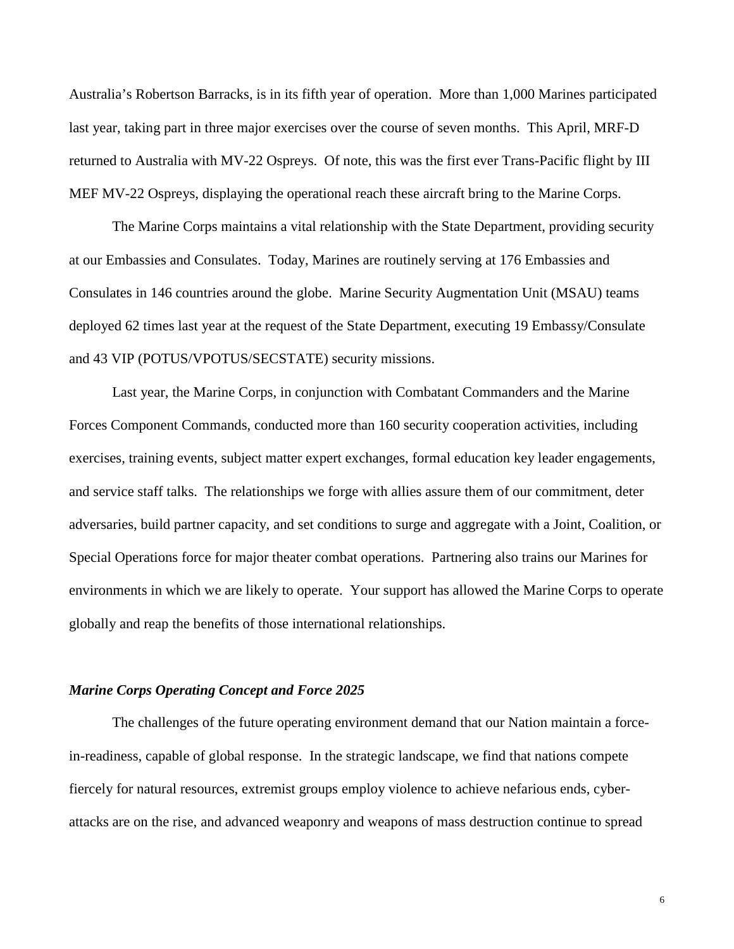Australia's Robertson Barracks, is in its fifth year of operation. More than 1,000 Marines participated last year, taking part in three major exercises over the course of seven months. This April, MRF-D returned to Australia with MV-22 Ospreys. Of note, this was the first ever Trans-Pacific flight by III MEF MV-22 Ospreys, displaying the operational reach these aircraft bring to the Marine Corps.

The Marine Corps maintains a vital relationship with the State Department, providing security at our Embassies and Consulates. Today, Marines are routinely serving at 176 Embassies and Consulates in 146 countries around the globe. Marine Security Augmentation Unit (MSAU) teams deployed 62 times last year at the request of the State Department, executing 19 Embassy/Consulate and 43 VIP (POTUS/VPOTUS/SECSTATE) security missions.

Last year, the Marine Corps, in conjunction with Combatant Commanders and the Marine Forces Component Commands, conducted more than 160 security cooperation activities, including exercises, training events, subject matter expert exchanges, formal education key leader engagements, and service staff talks. The relationships we forge with allies assure them of our commitment, deter adversaries, build partner capacity, and set conditions to surge and aggregate with a Joint, Coalition, or Special Operations force for major theater combat operations. Partnering also trains our Marines for environments in which we are likely to operate. Your support has allowed the Marine Corps to operate globally and reap the benefits of those international relationships.

#### *Marine Corps Operating Concept and Force 2025*

The challenges of the future operating environment demand that our Nation maintain a forcein-readiness, capable of global response. In the strategic landscape, we find that nations compete fiercely for natural resources, extremist groups employ violence to achieve nefarious ends, cyberattacks are on the rise, and advanced weaponry and weapons of mass destruction continue to spread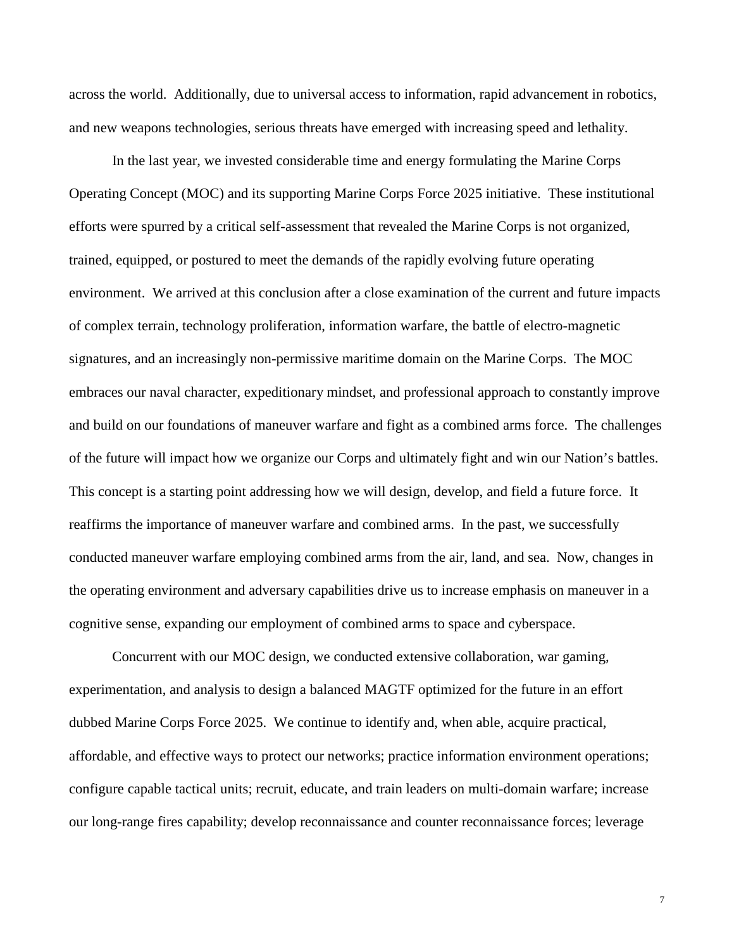across the world. Additionally, due to universal access to information, rapid advancement in robotics, and new weapons technologies, serious threats have emerged with increasing speed and lethality.

In the last year, we invested considerable time and energy formulating the Marine Corps Operating Concept (MOC) and its supporting Marine Corps Force 2025 initiative. These institutional efforts were spurred by a critical self-assessment that revealed the Marine Corps is not organized, trained, equipped, or postured to meet the demands of the rapidly evolving future operating environment. We arrived at this conclusion after a close examination of the current and future impacts of complex terrain, technology proliferation, information warfare, the battle of electro-magnetic signatures, and an increasingly non-permissive maritime domain on the Marine Corps. The MOC embraces our naval character, expeditionary mindset, and professional approach to constantly improve and build on our foundations of maneuver warfare and fight as a combined arms force. The challenges of the future will impact how we organize our Corps and ultimately fight and win our Nation's battles. This concept is a starting point addressing how we will design, develop, and field a future force. It reaffirms the importance of maneuver warfare and combined arms. In the past, we successfully conducted maneuver warfare employing combined arms from the air, land, and sea. Now, changes in the operating environment and adversary capabilities drive us to increase emphasis on maneuver in a cognitive sense, expanding our employment of combined arms to space and cyberspace.

Concurrent with our MOC design, we conducted extensive collaboration, war gaming, experimentation, and analysis to design a balanced MAGTF optimized for the future in an effort dubbed Marine Corps Force 2025. We continue to identify and, when able, acquire practical, affordable, and effective ways to protect our networks; practice information environment operations; configure capable tactical units; recruit, educate, and train leaders on multi-domain warfare; increase our long-range fires capability; develop reconnaissance and counter reconnaissance forces; leverage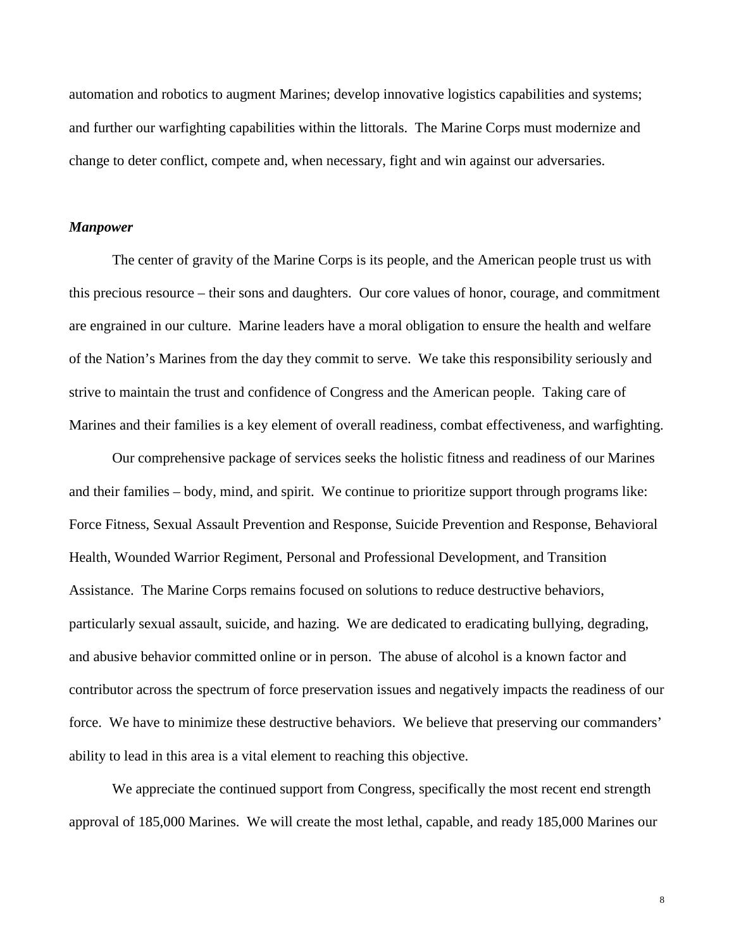automation and robotics to augment Marines; develop innovative logistics capabilities and systems; and further our warfighting capabilities within the littorals. The Marine Corps must modernize and change to deter conflict, compete and, when necessary, fight and win against our adversaries.

#### *Manpower*

The center of gravity of the Marine Corps is its people, and the American people trust us with this precious resource – their sons and daughters. Our core values of honor, courage, and commitment are engrained in our culture. Marine leaders have a moral obligation to ensure the health and welfare of the Nation's Marines from the day they commit to serve. We take this responsibility seriously and strive to maintain the trust and confidence of Congress and the American people. Taking care of Marines and their families is a key element of overall readiness, combat effectiveness, and warfighting.

Our comprehensive package of services seeks the holistic fitness and readiness of our Marines and their families – body, mind, and spirit. We continue to prioritize support through programs like: Force Fitness, Sexual Assault Prevention and Response, Suicide Prevention and Response, Behavioral Health, Wounded Warrior Regiment, Personal and Professional Development, and Transition Assistance. The Marine Corps remains focused on solutions to reduce destructive behaviors, particularly sexual assault, suicide, and hazing. We are dedicated to eradicating bullying, degrading, and abusive behavior committed online or in person. The abuse of alcohol is a known factor and contributor across the spectrum of force preservation issues and negatively impacts the readiness of our force. We have to minimize these destructive behaviors. We believe that preserving our commanders' ability to lead in this area is a vital element to reaching this objective.

We appreciate the continued support from Congress, specifically the most recent end strength approval of 185,000 Marines. We will create the most lethal, capable, and ready 185,000 Marines our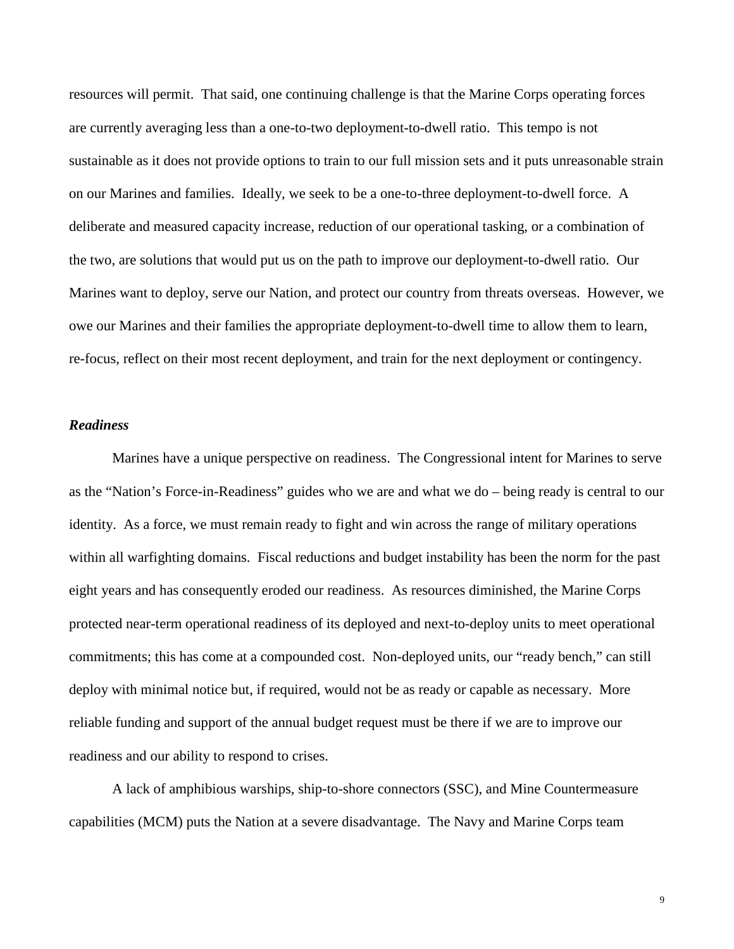resources will permit. That said, one continuing challenge is that the Marine Corps operating forces are currently averaging less than a one-to-two deployment-to-dwell ratio. This tempo is not sustainable as it does not provide options to train to our full mission sets and it puts unreasonable strain on our Marines and families. Ideally, we seek to be a one-to-three deployment-to-dwell force. A deliberate and measured capacity increase, reduction of our operational tasking, or a combination of the two, are solutions that would put us on the path to improve our deployment-to-dwell ratio. Our Marines want to deploy, serve our Nation, and protect our country from threats overseas. However, we owe our Marines and their families the appropriate deployment-to-dwell time to allow them to learn, re-focus, reflect on their most recent deployment, and train for the next deployment or contingency.

## *Readiness*

Marines have a unique perspective on readiness.The Congressional intent for Marines to serve as the "Nation's Force-in-Readiness" guides who we are and what we do – being ready is central to our identity. As a force, we must remain ready to fight and win across the range of military operations within all warfighting domains. Fiscal reductions and budget instability has been the norm for the past eight years and has consequently eroded our readiness. As resources diminished, the Marine Corps protected near-term operational readiness of its deployed and next-to-deploy units to meet operational commitments; this has come at a compounded cost. Non-deployed units, our "ready bench," can still deploy with minimal notice but, if required, would not be as ready or capable as necessary. More reliable funding and support of the annual budget request must be there if we are to improve our readiness and our ability to respond to crises.

A lack of amphibious warships, ship-to-shore connectors (SSC), and Mine Countermeasure capabilities (MCM) puts the Nation at a severe disadvantage. The Navy and Marine Corps team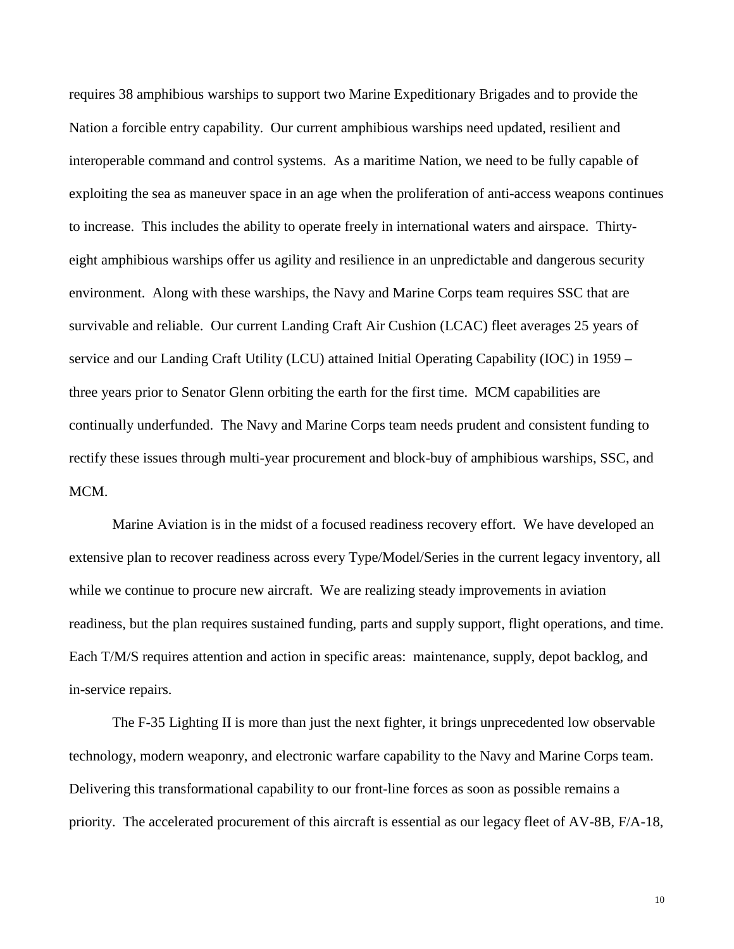requires 38 amphibious warships to support two Marine Expeditionary Brigades and to provide the Nation a forcible entry capability. Our current amphibious warships need updated, resilient and interoperable command and control systems. As a maritime Nation, we need to be fully capable of exploiting the sea as maneuver space in an age when the proliferation of anti-access weapons continues to increase. This includes the ability to operate freely in international waters and airspace. Thirtyeight amphibious warships offer us agility and resilience in an unpredictable and dangerous security environment. Along with these warships, the Navy and Marine Corps team requires SSC that are survivable and reliable. Our current Landing Craft Air Cushion (LCAC) fleet averages 25 years of service and our Landing Craft Utility (LCU) attained Initial Operating Capability (IOC) in 1959 – three years prior to Senator Glenn orbiting the earth for the first time. MCM capabilities are continually underfunded. The Navy and Marine Corps team needs prudent and consistent funding to rectify these issues through multi-year procurement and block-buy of amphibious warships, SSC, and MCM.

Marine Aviation is in the midst of a focused readiness recovery effort. We have developed an extensive plan to recover readiness across every Type/Model/Series in the current legacy inventory, all while we continue to procure new aircraft. We are realizing steady improvements in aviation readiness, but the plan requires sustained funding, parts and supply support, flight operations, and time. Each T/M/S requires attention and action in specific areas: maintenance, supply, depot backlog, and in-service repairs.

The F-35 Lighting II is more than just the next fighter, it brings unprecedented low observable technology, modern weaponry, and electronic warfare capability to the Navy and Marine Corps team. Delivering this transformational capability to our front-line forces as soon as possible remains a priority. The accelerated procurement of this aircraft is essential as our legacy fleet of AV-8B, F/A-18,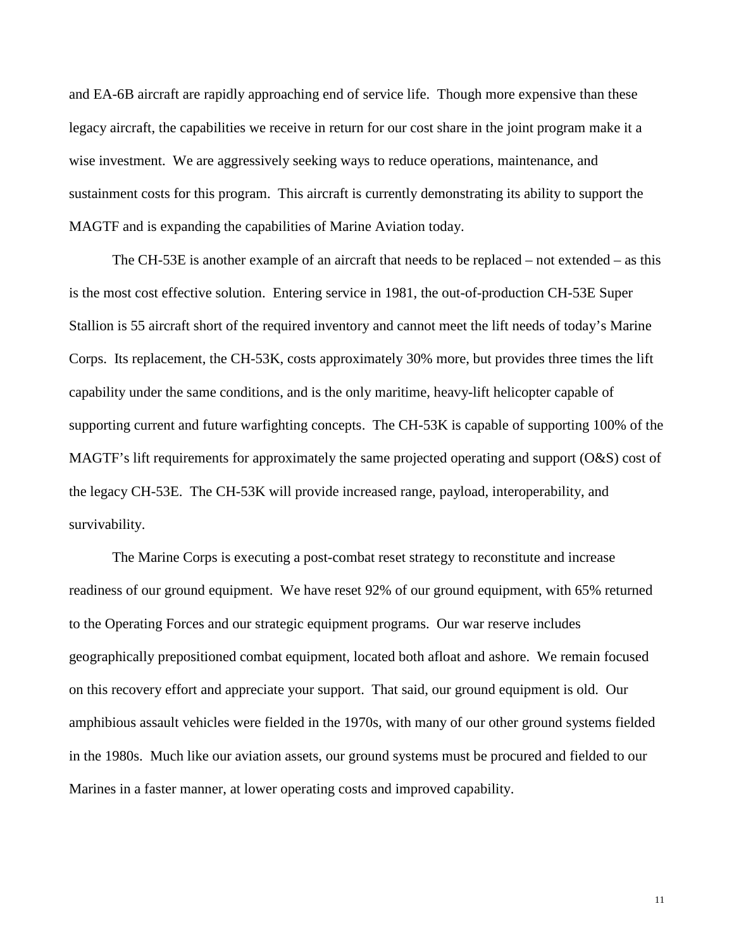and EA-6B aircraft are rapidly approaching end of service life. Though more expensive than these legacy aircraft, the capabilities we receive in return for our cost share in the joint program make it a wise investment. We are aggressively seeking ways to reduce operations, maintenance, and sustainment costs for this program. This aircraft is currently demonstrating its ability to support the MAGTF and is expanding the capabilities of Marine Aviation today.

The CH-53E is another example of an aircraft that needs to be replaced – not extended – as this is the most cost effective solution. Entering service in 1981, the out-of-production CH-53E Super Stallion is 55 aircraft short of the required inventory and cannot meet the lift needs of today's Marine Corps. Its replacement, the CH-53K, costs approximately 30% more, but provides three times the lift capability under the same conditions, and is the only maritime, heavy-lift helicopter capable of supporting current and future warfighting concepts. The CH-53K is capable of supporting 100% of the MAGTF's lift requirements for approximately the same projected operating and support (O&S) cost of the legacy CH-53E. The CH-53K will provide increased range, payload, interoperability, and survivability.

The Marine Corps is executing a post-combat reset strategy to reconstitute and increase readiness of our ground equipment. We have reset 92% of our ground equipment, with 65% returned to the Operating Forces and our strategic equipment programs. Our war reserve includes geographically prepositioned combat equipment, located both afloat and ashore. We remain focused on this recovery effort and appreciate your support. That said, our ground equipment is old. Our amphibious assault vehicles were fielded in the 1970s, with many of our other ground systems fielded in the 1980s. Much like our aviation assets, our ground systems must be procured and fielded to our Marines in a faster manner, at lower operating costs and improved capability.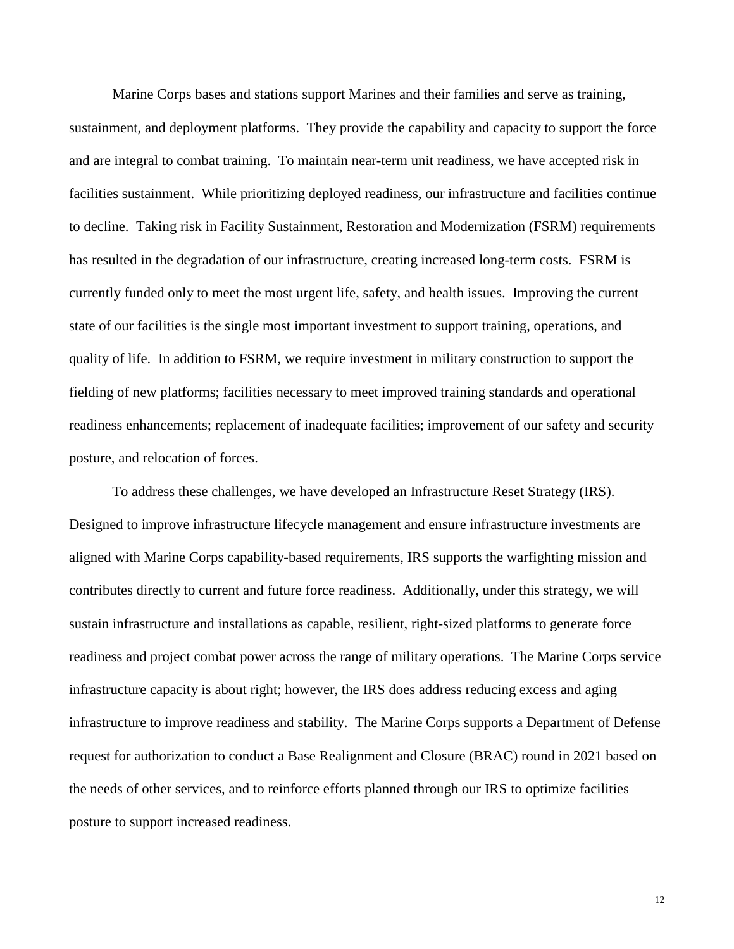Marine Corps bases and stations support Marines and their families and serve as training, sustainment, and deployment platforms. They provide the capability and capacity to support the force and are integral to combat training. To maintain near-term unit readiness, we have accepted risk in facilities sustainment. While prioritizing deployed readiness, our infrastructure and facilities continue to decline. Taking risk in Facility Sustainment, Restoration and Modernization (FSRM) requirements has resulted in the degradation of our infrastructure, creating increased long-term costs. FSRM is currently funded only to meet the most urgent life, safety, and health issues. Improving the current state of our facilities is the single most important investment to support training, operations, and quality of life. In addition to FSRM, we require investment in military construction to support the fielding of new platforms; facilities necessary to meet improved training standards and operational readiness enhancements; replacement of inadequate facilities; improvement of our safety and security posture, and relocation of forces.

To address these challenges, we have developed an Infrastructure Reset Strategy (IRS). Designed to improve infrastructure lifecycle management and ensure infrastructure investments are aligned with Marine Corps capability-based requirements, IRS supports the warfighting mission and contributes directly to current and future force readiness. Additionally, under this strategy, we will sustain infrastructure and installations as capable, resilient, right-sized platforms to generate force readiness and project combat power across the range of military operations. The Marine Corps service infrastructure capacity is about right; however, the IRS does address reducing excess and aging infrastructure to improve readiness and stability. The Marine Corps supports a Department of Defense request for authorization to conduct a Base Realignment and Closure (BRAC) round in 2021 based on the needs of other services, and to reinforce efforts planned through our IRS to optimize facilities posture to support increased readiness.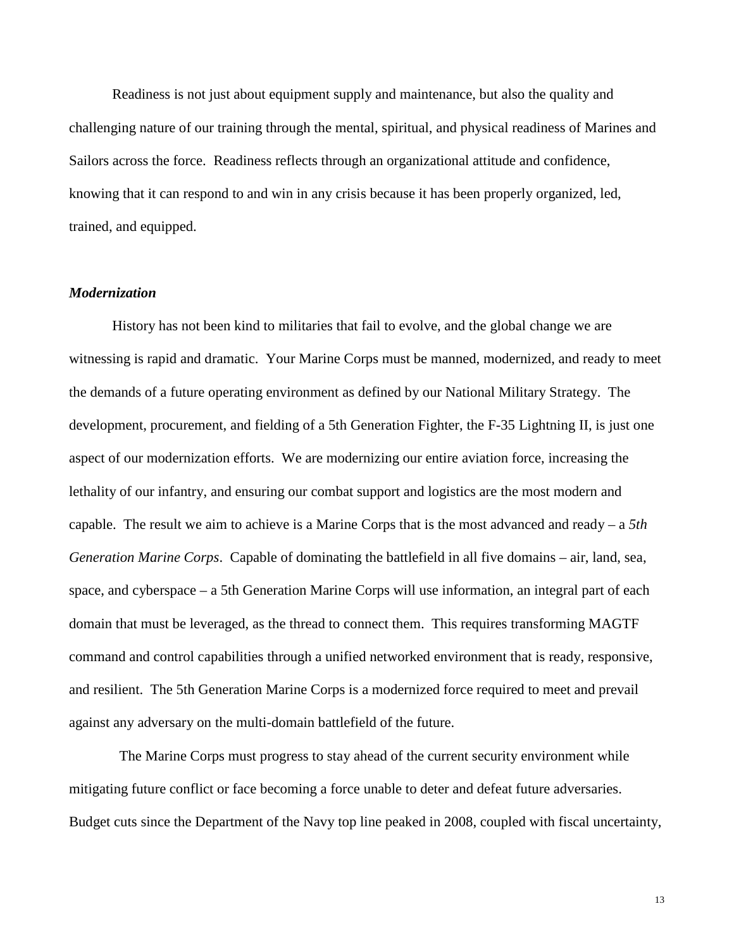Readiness is not just about equipment supply and maintenance, but also the quality and challenging nature of our training through the mental, spiritual, and physical readiness of Marines and Sailors across the force. Readiness reflects through an organizational attitude and confidence, knowing that it can respond to and win in any crisis because it has been properly organized, led, trained, and equipped.

## *Modernization*

History has not been kind to militaries that fail to evolve, and the global change we are witnessing is rapid and dramatic. Your Marine Corps must be manned, modernized, and ready to meet the demands of a future operating environment as defined by our National Military Strategy. The development, procurement, and fielding of a 5th Generation Fighter, the F-35 Lightning II, is just one aspect of our modernization efforts. We are modernizing our entire aviation force, increasing the lethality of our infantry, and ensuring our combat support and logistics are the most modern and capable. The result we aim to achieve is a Marine Corps that is the most advanced and ready – a *5th Generation Marine Corps*. Capable of dominating the battlefield in all five domains – air, land, sea, space, and cyberspace – a 5th Generation Marine Corps will use information, an integral part of each domain that must be leveraged, as the thread to connect them. This requires transforming MAGTF command and control capabilities through a unified networked environment that is ready, responsive, and resilient. The 5th Generation Marine Corps is a modernized force required to meet and prevail against any adversary on the multi-domain battlefield of the future.

The Marine Corps must progress to stay ahead of the current security environment while mitigating future conflict or face becoming a force unable to deter and defeat future adversaries. Budget cuts since the Department of the Navy top line peaked in 2008, coupled with fiscal uncertainty,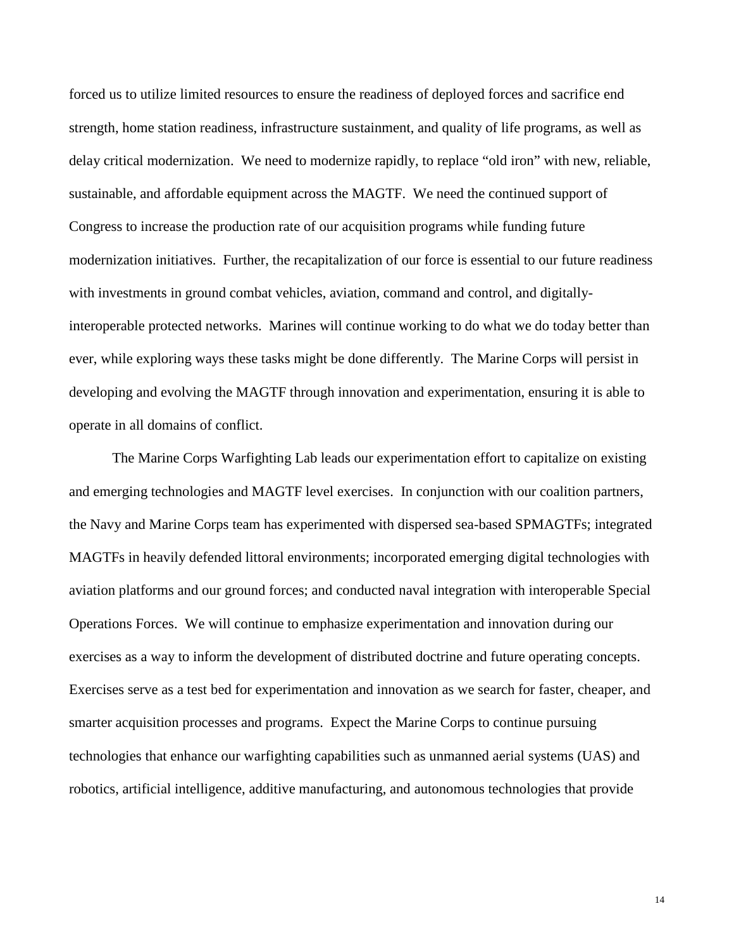forced us to utilize limited resources to ensure the readiness of deployed forces and sacrifice end strength, home station readiness, infrastructure sustainment, and quality of life programs, as well as delay critical modernization. We need to modernize rapidly, to replace "old iron" with new, reliable, sustainable, and affordable equipment across the MAGTF. We need the continued support of Congress to increase the production rate of our acquisition programs while funding future modernization initiatives. Further, the recapitalization of our force is essential to our future readiness with investments in ground combat vehicles, aviation, command and control, and digitallyinteroperable protected networks. Marines will continue working to do what we do today better than ever, while exploring ways these tasks might be done differently. The Marine Corps will persist in developing and evolving the MAGTF through innovation and experimentation, ensuring it is able to operate in all domains of conflict.

The Marine Corps Warfighting Lab leads our experimentation effort to capitalize on existing and emerging technologies and MAGTF level exercises. In conjunction with our coalition partners, the Navy and Marine Corps team has experimented with dispersed sea-based SPMAGTFs; integrated MAGTFs in heavily defended littoral environments; incorporated emerging digital technologies with aviation platforms and our ground forces; and conducted naval integration with interoperable Special Operations Forces. We will continue to emphasize experimentation and innovation during our exercises as a way to inform the development of distributed doctrine and future operating concepts. Exercises serve as a test bed for experimentation and innovation as we search for faster, cheaper, and smarter acquisition processes and programs. Expect the Marine Corps to continue pursuing technologies that enhance our warfighting capabilities such as unmanned aerial systems (UAS) and robotics, artificial intelligence, additive manufacturing, and autonomous technologies that provide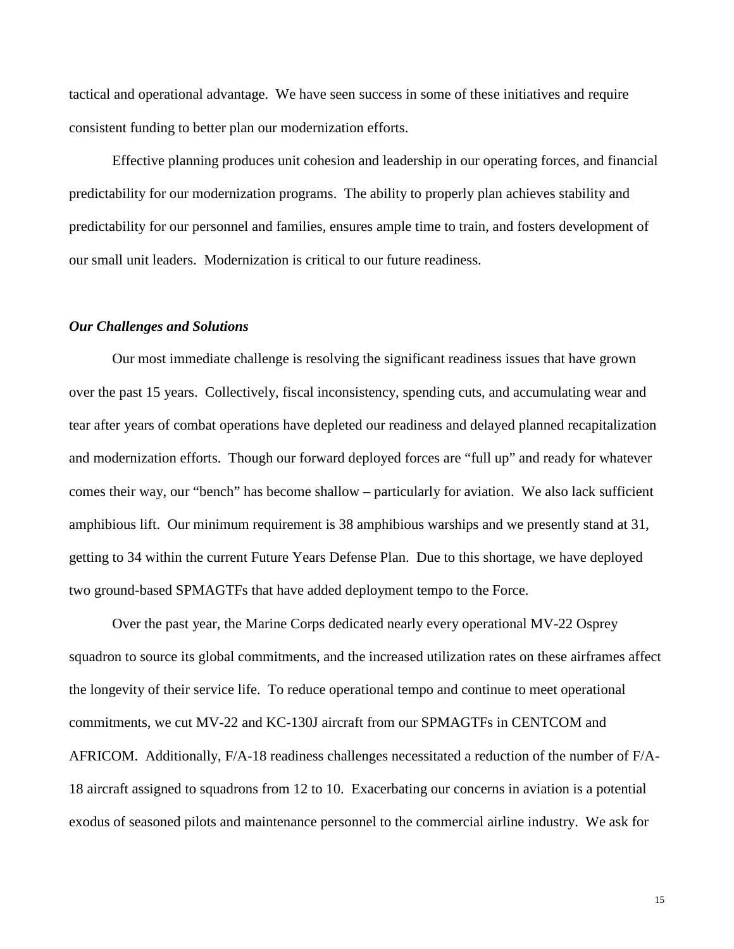tactical and operational advantage. We have seen success in some of these initiatives and require consistent funding to better plan our modernization efforts.

Effective planning produces unit cohesion and leadership in our operating forces, and financial predictability for our modernization programs. The ability to properly plan achieves stability and predictability for our personnel and families, ensures ample time to train, and fosters development of our small unit leaders. Modernization is critical to our future readiness.

#### *Our Challenges and Solutions*

Our most immediate challenge is resolving the significant readiness issues that have grown over the past 15 years. Collectively, fiscal inconsistency, spending cuts, and accumulating wear and tear after years of combat operations have depleted our readiness and delayed planned recapitalization and modernization efforts. Though our forward deployed forces are "full up" and ready for whatever comes their way, our "bench" has become shallow – particularly for aviation. We also lack sufficient amphibious lift. Our minimum requirement is 38 amphibious warships and we presently stand at 31, getting to 34 within the current Future Years Defense Plan. Due to this shortage, we have deployed two ground-based SPMAGTFs that have added deployment tempo to the Force.

Over the past year, the Marine Corps dedicated nearly every operational MV-22 Osprey squadron to source its global commitments, and the increased utilization rates on these airframes affect the longevity of their service life. To reduce operational tempo and continue to meet operational commitments, we cut MV-22 and KC-130J aircraft from our SPMAGTFs in CENTCOM and AFRICOM. Additionally, F/A-18 readiness challenges necessitated a reduction of the number of F/A-18 aircraft assigned to squadrons from 12 to 10. Exacerbating our concerns in aviation is a potential exodus of seasoned pilots and maintenance personnel to the commercial airline industry. We ask for